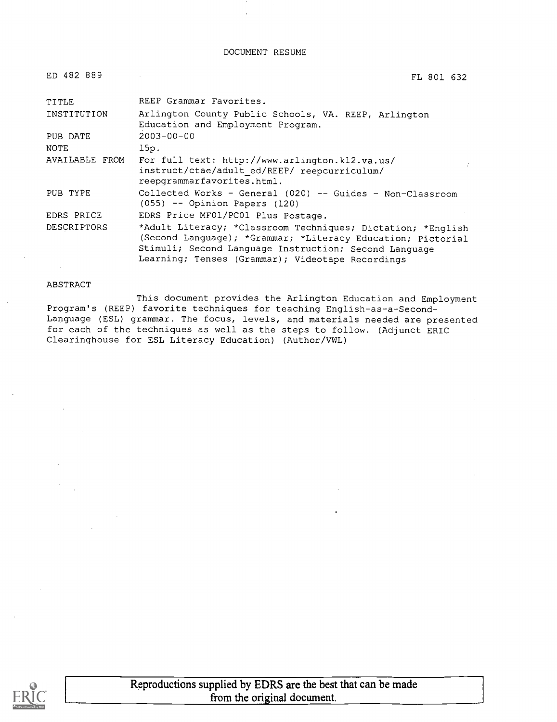DOCUMENT RESUME

| ED 482 889     | FL 801 632                                                                                                                                                                                                                              |
|----------------|-----------------------------------------------------------------------------------------------------------------------------------------------------------------------------------------------------------------------------------------|
| TITLE          | REEP Grammar Favorites.                                                                                                                                                                                                                 |
| INSTITUTION    | Arlington County Public Schools, VA. REEP, Arlington<br>Education and Employment Program.                                                                                                                                               |
| PUB DATE       | $2003 - 00 - 00$                                                                                                                                                                                                                        |
| <b>NOTE</b>    | 15p.                                                                                                                                                                                                                                    |
| AVAILABLE FROM | For full text: http://www.arlington.kl2.va.us/<br>instruct/ctae/adult ed/REEP/ reepcurriculum/<br>reepgrammarfavorites.html.                                                                                                            |
| PUB TYPE       | Collected Works - General (020) -- Guides - Non-Classroom<br>$(055)$ -- Opinion Papers (120)                                                                                                                                            |
| EDRS PRICE     | EDRS Price MF01/PC01 Plus Postage.                                                                                                                                                                                                      |
| DESCRIPTORS    | *Adult Literacy; *Classroom Techniques; Dictation; *English<br>(Second Language); *Grammar; *Literacy Education; Pictorial<br>Stimuli; Second Language Instruction; Second Language<br>Learning; Tenses (Grammar); Videotape Recordings |

### ABSTRACT

This document provides the Arlington Education and Employment Program's (REEP) favorite techniques for teaching English-as-a-Second-Language (ESL) grammar. The focus, levels, and materials needed are presented for each of the techniques as well as the steps to follow. (Adjunct ERIC Clearinghouse for ESL Literacy Education) (Author/VWL)

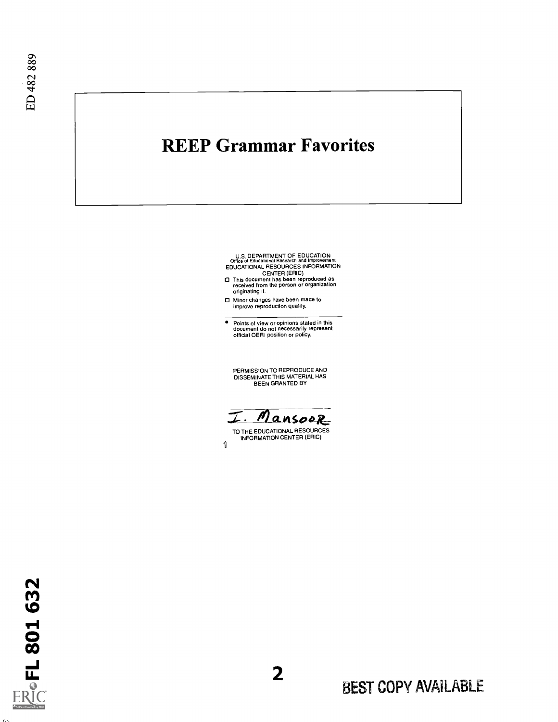## REEP Grammar Favorites

U.S. DEPARTMENT OF EDUCATION<br>
COffice of Educational Research and improvement<br>
EDUCATIONAL RESOURCES INFORMATION<br>
CENTER (ERIC)<br>
CENTER (ERIC)<br>
This document has been reproduced as<br>
received from the person or organization

- 
- O Minor changes have been made to improve reproduction quality.

Points of view or opinions stated in this document do not necessarily represent official OERI position or policy.

PERMISSION TO REPRODUCE AND DISSEMINATE THIS MATERIAL HAS BEEN GRANTED BY

I. Mansoor

1 TO THE EDUCATIONAL RESOURCES INFORMATION CENTER (ERIC)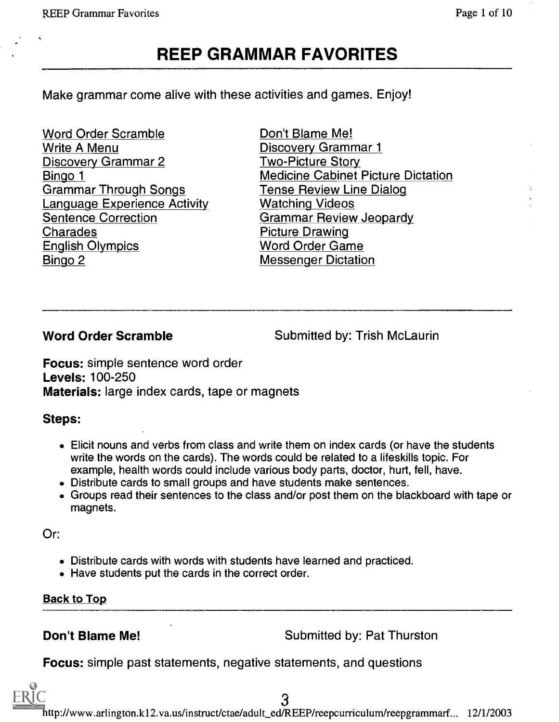## REEP GRAMMAR FAVORITES

Make grammar come alive with these activities and games. Enjoy!

Word Order Scramble Write A Menu Discovery Grammar 2 Bingo 1 Grammar Through Songs Language Experience Activity Sentence Correction Charades English Olympics Bingo 2

Don't Blame Me! Discovery Grammar 1 Two-Picture Story Medicine Cabinet Picture Dictation Tense Review Line Dialog Watching Videos Grammar Review Jeopardy Picture Drawing Word Order Game Messenger Dictation

Word Order Scramble Submitted by: Trish McLaurin

Focus: simple sentence word order Levels: 100-250 Materials: large index cards, tape or magnets

### Steps:

- Elicit nouns and verbs from class and write them on index cards (or have the students write the words on the cards). The words could be related to a lifeskills topic. For example, health words could include various body parts, doctor, hurt, fell, have.
- Distribute cards to small groups and have students make sentences.
- Groups read their sentences to the class and/or post them on the blackboard with tape or magnets.

Or:

- Distribute cards with words with students have learned and practiced.
- Have students put the cards in the correct order.

Back to Top

**Don't Blame Me!** Submitted by: Pat Thurston

Focus: simple past statements, negative statements, and questions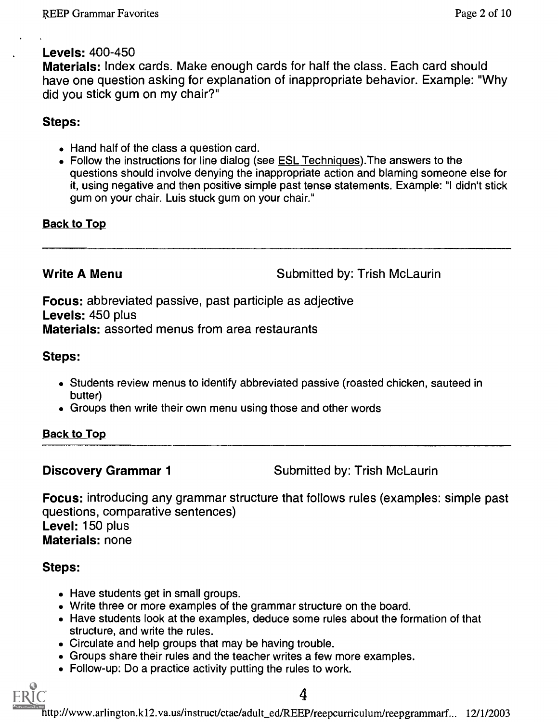### Levels: 400-450

Materials: Index cards. Make enough cards for half the class. Each card should have one question asking for explanation of inappropriate behavior. Example: "Why did you stick gum on my chair?"

### Steps:

- Hand half of the class a question card.
- Follow the instructions for line dialog (see **ESL Techniques**). The answers to the questions should involve denying the inappropriate action and blaming someone else for it, using negative and then positive simple past tense statements. Example: "I didn't stick gum on your chair. Luis stuck gum on your chair."

### Back to Top

Write A Menu **Next** Submitted by: Trish McLaurin

Focus: abbreviated passive, past participle as adjective Levels: 450 plus Materials: assorted menus from area restaurants

Steps:

- Students review menus to identify abbreviated passive (roasted chicken, sauteed in butter)
- Groups then write their own menu using those and other words

Back to Top

**Discovery Grammar 1** Submitted by: Trish McLaurin

Focus: introducing any grammar structure that follows rules (examples: simple past questions, comparative sentences) Level: 150 plus Materials: none

### Steps:

- Have students get in small groups.
- Write three or more examples of the grammar structure on the board.
- Have students look at the examples, deduce some rules about the formation of that structure, and write the rules.
- Circulate and help groups that may be having trouble.
- Groups share their rules and the teacher writes a few more examples.
- Follow-up: Do a practice activity putting the rules to work.

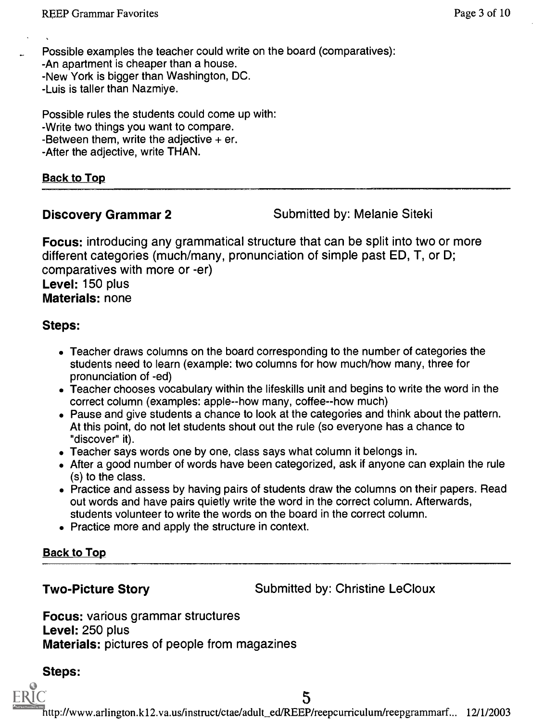Possible examples the teacher could write on the board (comparatives): -An apartment is cheaper than a house. -New York is bigger than Washington, DC. -Luis is taller than Nazmiye.

Possible rules the students could come up with: -Write two things you want to compare. -Between them, write the adjective  $+$  er. -After the adjective, write THAN.

### Back to Top

**Discovery Grammar 2** Submitted by: Melanie Siteki

Focus: introducing any grammatical structure that can be split into two or more different categories (much/many, pronunciation of simple past ED, T, or D; comparatives with more or -er) Level: 150 plus Materials: none

### Steps:

- Teacher draws columns on the board corresponding to the number of categories the students need to learn (example: two columns for how much/how many, three for pronunciation of -ed)
- Teacher chooses vocabulary within the lifeskills unit and begins to write the word in the correct column (examples: apple--how many, coffee--how much)
- Pause and give students a chance to look at the categories and think about the pattern. At this point, do not let students shout out the rule (so everyone has a chance to "discover" it).
- Teacher says words one by one, class says what column it belongs in.
- After a good number of words have been categorized, ask if anyone can explain the rule (s) to the class.
- Practice and assess by having pairs of students draw the columns on their papers. Read out words and have pairs quietly write the word in the correct column. Afterwards, students volunteer to write the words on the board in the correct column.
- Practice more and apply the structure in context.

### **Back to Top**

**Two-Picture Story Submitted by: Christine LeCloux** 

Focus: various grammar structures Level: 250 plus Materials: pictures of people from magazines

### Steps:

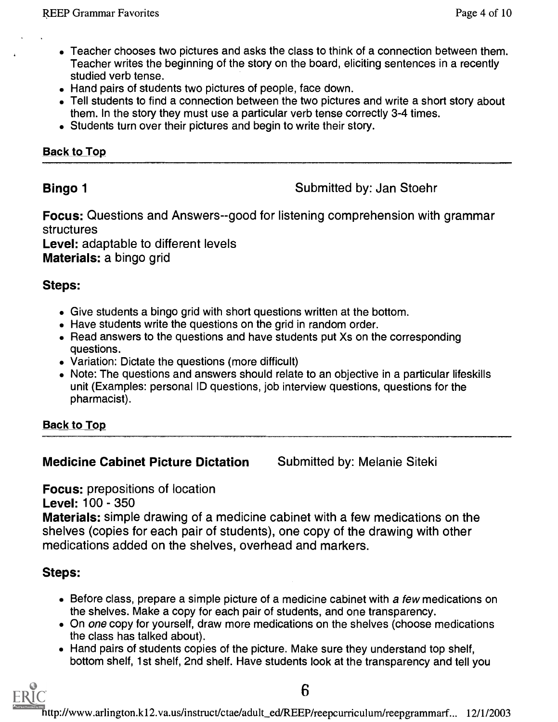- Teacher chooses two pictures and asks the class to think of a connection between them. Teacher writes the beginning of the story on the board, eliciting sentences in a recently studied verb tense.
- Hand pairs of students two pictures of people, face down.
- Tell students to find a connection between the two pictures and write a short story about them. In the story they must use a particular verb tense correctly 3-4 times.
- Students turn over their pictures and begin to write their story.

### **Back to Top**

**Bingo 1** Submitted by: Jan Stoehr

Focus: Questions and Answers--good for listening comprehension with grammar structures

Level: adaptable to different levels Materials: a bingo grid

### Steps:

- Give students a bingo grid with short questions written at the bottom.
- Have students write the questions on the grid in random order.
- Read answers to the questions and have students put Xs on the corresponding questions.
- Variation: Dictate the questions (more difficult)
- Note: The questions and answers should relate to an objective in a particular lifeskills unit (Examples: personal ID questions, job interview questions, questions for the pharmacist).

Back to Top

### **Medicine Cabinet Picture Dictation Submitted by: Melanie Siteki**

Focus: prepositions of location

Level: 100 - 350

Materials: simple drawing of a medicine cabinet with a few medications on the shelves (copies for each pair of students), one copy of the drawing with other medications added on the shelves, overhead and markers.

### Steps:

- Before class, prepare a simple picture of a medicine cabinet with a few medications on the shelves. Make a copy for each pair of students, and one transparency.
- On one copy for yourself, draw more medications on the shelves (choose medications the class has talked about).
- Hand pairs of students copies of the picture. Make sure they understand top shelf, bottom shelf, 1st shelf, 2nd shelf. Have students look at the transparency and tell you

6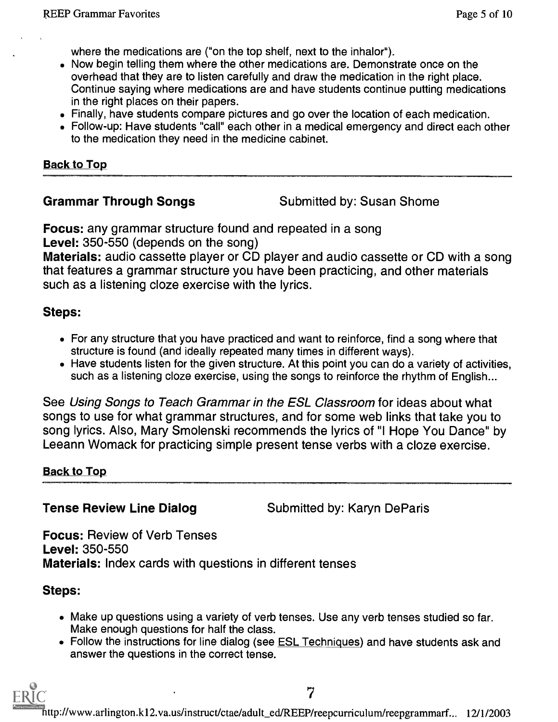where the medications are ("on the top shelf, next to the inhalor").

- Now begin telling them where the other medications are. Demonstrate once on the overhead that they are to listen carefully and draw the medication in the right place. Continue saying where medications are and have students continue putting medications in the right places on their papers.
- Finally, have students compare pictures and go over the location of each medication.
- Follow-up: Have students "call" each other in a medical emergency and direct each other to the medication they need in the medicine cabinet.

### Back to Top

Grammar Through Songs Submitted by: Susan Shome

Focus: any grammar structure found and repeated in a song Level: 350-550 (depends on the song)

Materials: audio cassette player or CD player and audio cassette or CD with a song that features a grammar structure you have been practicing, and other materials such as a listening cloze exercise with the lyrics.

### Steps:

- For any structure that you have practiced and want to reinforce, find a song where that structure is found (and ideally repeated many times in different ways).
- Have students listen for the given structure. At this point you can do a variety of activities, such as a listening cloze exercise, using the songs to reinforce the rhythm of English...

See Using Songs to Teach Grammar in the ESL Classroom for ideas about what songs to use for what grammar structures, and for some web links that take you to song lyrics. Also, Mary Smolenski recommends the lyrics of "I Hope You Dance" by Leeann Womack for practicing simple present tense verbs with a cloze exercise.

### **Back to Top**

**Tense Review Line Dialog Submitted by: Karyn DeParis** 

7

Focus: Review of Verb Tenses Level: 350-550 Materials: Index cards with questions in different tenses

### Steps:

- Make up questions using a variety of verb tenses. Use any verb tenses studied so far. Make enough questions for half the class.
- Follow the instructions for line dialog (see ESL Techniques) and have students ask and answer the questions in the correct tense.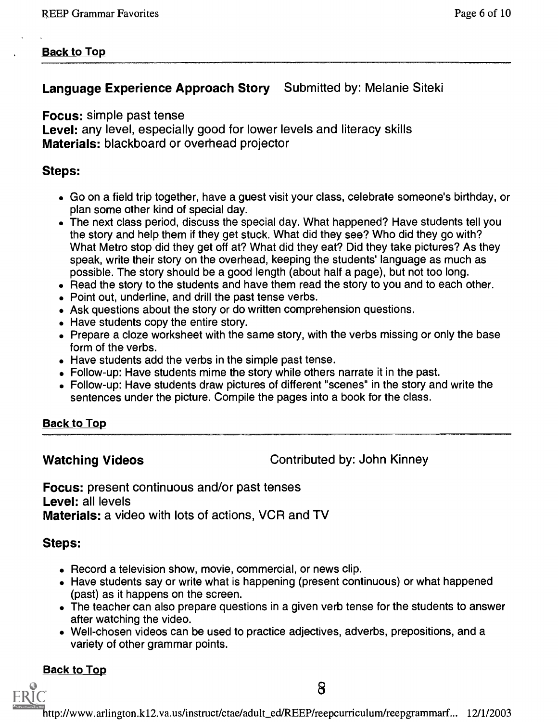### **Back to Top**

### Language Experience Approach Story Submitted by: Melanie Siteki

Focus: simple past tense

Level: any level, especially good for lower levels and literacy skills Materials: blackboard or overhead projector

### Steps:

- Go on a field trip together, have a guest visit your class, celebrate someone's birthday, or plan some other kind of special day.
- The next class period, discuss the special day. What happened? Have students tell you the story and help them if they get stuck. What did they see? Who did they go with? What Metro stop did they get off at? What did they eat? Did they take pictures? As they speak, write their story on the overhead, keeping the students' language as much as possible. The story should be a good length (about half a page), but not too long.
- Read the story to the students and have them read the story to you and to each other.
- Point out, underline, and drill the past tense verbs.
- Ask questions about the story or do written comprehension questions.
- Have students copy the entire story.
- Prepare a cloze worksheet with the same story, with the verbs missing or only the base form of the verbs.
- Have students add the verbs in the simple past tense.
- Follow-up: Have students mime the story while others narrate it in the past.
- Follow-up: Have students draw pictures of different "scenes" in the story and write the sentences under the picture. Compile the pages into a book for the class.

### Back to Top

Watching Videos **Contributed by: John Kinney** 

8

Focus: present continuous and/or past tenses Level: all levels Materials: a video with lots of actions, VCR and TV

### Steps:

- Record a television show, movie, commercial, or news clip.
- Have students say or write what is happening (present continuous) or what happened (past) as it happens on the screen.
- The teacher can also prepare questions in a given verb tense for the students to answer after watching the video.
- Well-chosen videos can be used to practice adjectives, adverbs, prepositions, and a variety of other grammar points.

### **Back to Top**

FRIC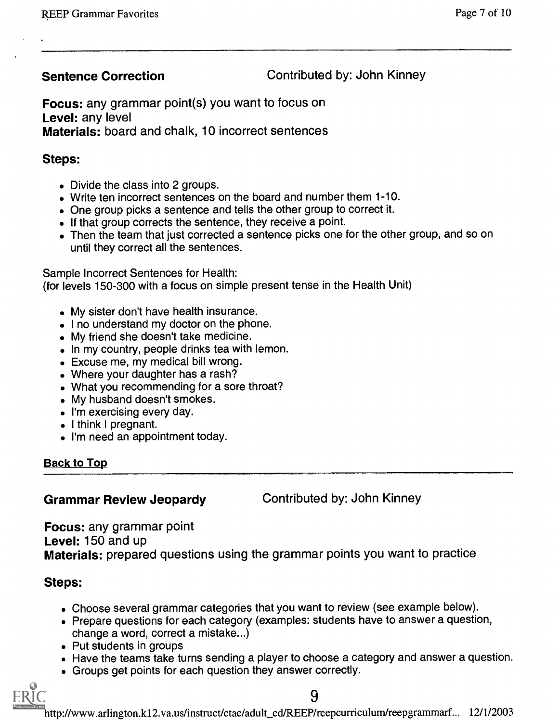Sentence Correction **Contributed by: John Kinney** 

Focus: any grammar point(s) you want to focus on Level: any level Materials: board and chalk, 10 incorrect sentences

### Steps:

- Divide the class into 2 groups.
- Write ten incorrect sentences on the board and number them 1-10.
- One group picks a sentence and tells the other group to correct it.
- If that group corrects the sentence, they receive a point.
- Then the team that just corrected a sentence picks one for the other group, and so on until they correct all the sentences.

Sample Incorrect Sentences for Health:

(for levels 150-300 with a focus on simple present tense in the Health Unit)

- My sister don't have health insurance.
- I no understand my doctor on the phone.
- My friend she doesn't take medicine.
- In my country, people drinks tea with lemon.
- Excuse me, my medical bill wrong.
- Where your daughter has a rash?
- What you recommending for a sore throat?
- My husband doesn't smokes.
- I'm exercising every day.
- I think I pregnant.
- I'm need an appointment today.

### **Back to Top**

### Grammar Review Jeopardy Contributed by: John Kinney

Focus: any grammar point Level: 150 and up Materials: prepared questions using the grammar points you want to practice

### Steps:

- Choose several grammar categories that you want to review (see example below).
- Prepare questions for each category (examples: students have to answer a question,
- change a word, correct a mistake...) Put students in groups
- Have the teams take turns sending a player to choose a category and answer a question.
- Groups get points for each question they answer correctly.



9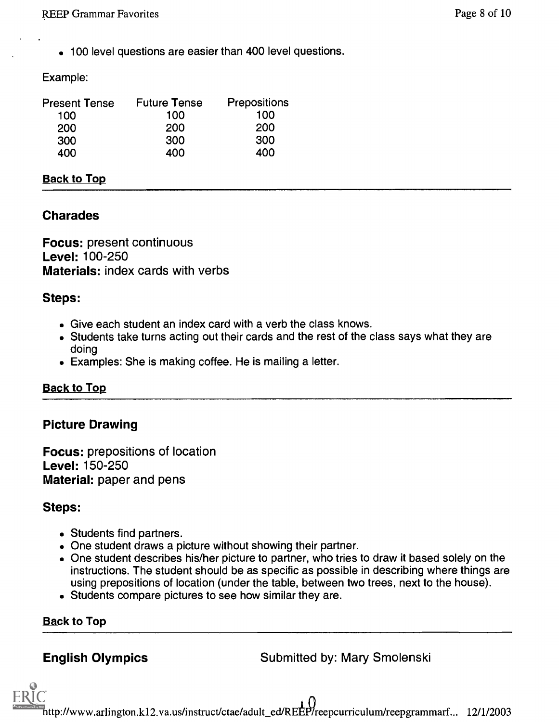100 level questions are easier than 400 level questions.

### Example:

| Present Tense | <b>Future Tense</b> | Prepositions |  |
|---------------|---------------------|--------------|--|
| 100           | 100                 | 100          |  |
| 200           | 200                 | 200          |  |
| 300           | 300                 | 300          |  |
| 400           | 400                 | 400          |  |

### Back to Top

### Charades

Focus: present continuous Level: 100-250 Materials: index cards with verbs

### Steps:

- Give each student an index card with a verb the class knows.
- Students take turns acting out their cards and the rest of the class says what they are doing
- Examples: She is making coffee. He is mailing a letter.

### **Back to Top**

### Picture Drawing

Focus: prepositions of location Level: 150-250 Material: paper and pens

### Steps:

- Students find partners.
- One student draws a picture without showing their partner.
- One student describes his/her picture to partner, who tries to draw it based solely on the instructions. The student should be as specific as possible in describing where things are using prepositions of location (under the table, between two trees, next to the house).
- Students compare pictures to see how similar they are.

### **Back to Top**

**English Olympics** Submitted by: Mary Smolenski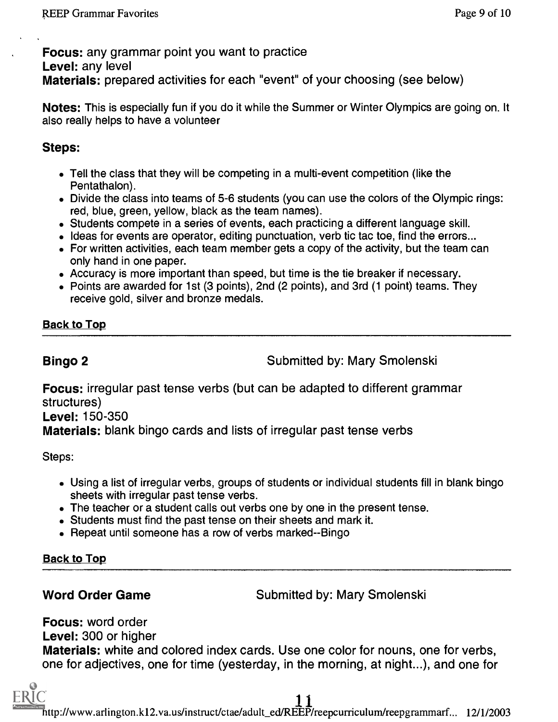Focus: any grammar point you want to practice Level: any level Materials: prepared activities for each "event" of your choosing (see below)

Notes: This is especially fun if you do it while the Summer or Winter Olympics are going on. It also really helps to have a volunteer

### Steps:

- Tell the class that they will be competing in a multi-event competition (like the Pentathalon).
- Divide the class into teams of 5-6 students (you can use the colors of the Olympic rings: red, blue, green, yellow, black as the team names).
- Students compete in a series of events, each practicing a different language skill.
- Ideas for events are operator, editing punctuation, verb tic tac toe, find the errors...
- For written activities, each team member gets a copy of the activity, but the team can only hand in one paper.
- Accuracy is more important than speed, but time is the tie breaker if necessary.
- Points are awarded for 1st (3 points), 2nd (2 points), and 3rd (1 point) teams. They receive gold, silver and bronze medals.

**Back to Top** 

**Bingo 2** Submitted by: Mary Smolenski

Focus: irregular past tense verbs (but can be adapted to different grammar structures)

Level: 150-350

Materials: blank bingo cards and lists of irregular past tense verbs

Steps:

- Using a list of irregular verbs, groups of students or individual students fill in blank bingo sheets with irregular past tense verbs.
- The teacher or a student calls out verbs one by one in the present tense.
- Students must find the past tense on their sheets and mark it.
- Repeat until someone has a row of verbs marked--Bingo

**Back to Top** 

Word Order Game Submitted by: Mary Smolenski

Focus: word order

Level: 300 or higher

Materials: white and colored index cards. Use one color for nouns, one for verbs, one for adjectives, one for time (yesterday, in the morning, at night...), and one for

 $\prod_{n\in\mathbb{N}}$ http://www.arlington.k12.va.us/instruct/ctae/adult\_ed/REEP/reepcurriculum/reepgrammarf... 12/1/2003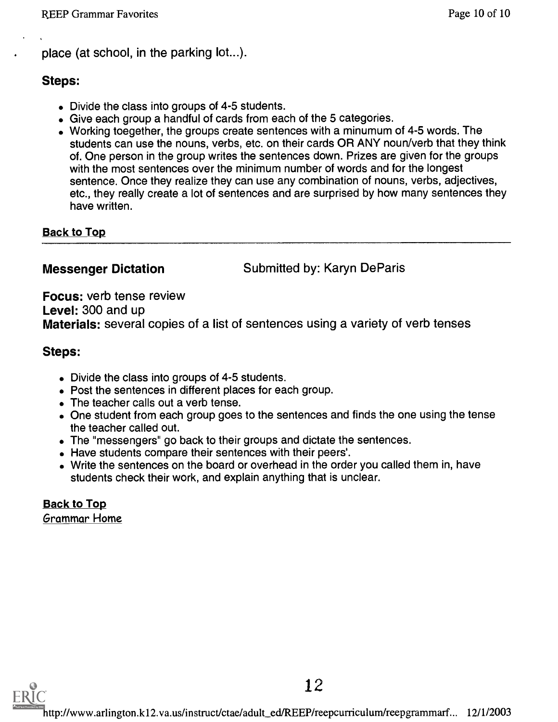place (at school, in the parking lot...).

### Steps:

- Divide the class into groups of 4-5 students.
- Give each group a handful of cards from each of the 5 categories.
- Working toegether, the groups create sentences with a minumum of 4-5 words. The students can use the nouns, verbs, etc. on their cards OR ANY noun/verb that they think of. One person in the group writes the sentences down. Prizes are given for the groups with the most sentences over the minimum number of words and for the longest sentence. Once they realize they can use any combination of nouns, verbs, adjectives, etc., they really create a lot of sentences and are surprised by how many sentences they have written.

**Back to Top** 

**Messenger Dictation Submitted by: Karyn DeParis** 

Focus: verb tense review Level: 300 and up Materials: several copies of a list of sentences using a variety of verb tenses

### Steps:

- Divide the class into groups of 4-5 students.
- Post the sentences in different places for each group.
- The teacher calls out a verb tense.
- One student from each group goes to the sentences and finds the one using the tense the teacher called out.
- The "messengers" go back to their groups and dictate the sentences.
- Have students compare their sentences with their peers'.
- Write the sentences on the board or overhead in the order you called them in, have students check their work, and explain anything that is unclear.

**Back to Top** Grammar Home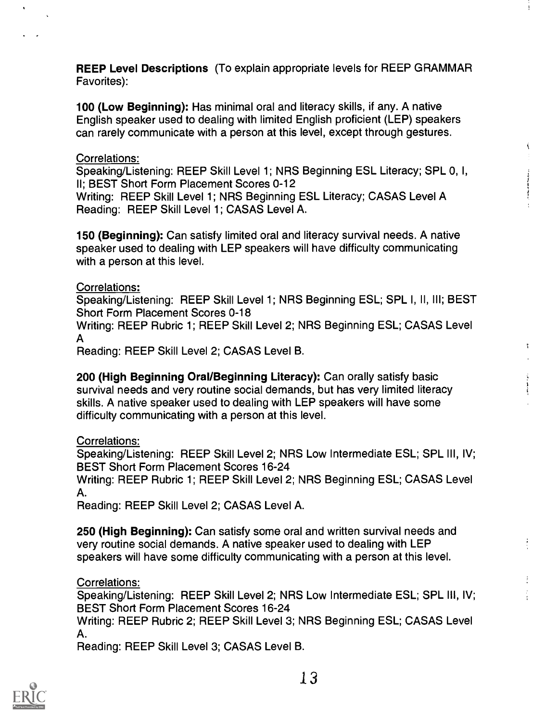REEP Level Descriptions (To explain appropriate levels for REEP GRAMMAR Favorites):

100 (Low Beginning): Has minimal oral and literacy skills, if any. A native English speaker used to dealing with limited English proficient (LEP) speakers can rarely communicate with a person at this level, except through gestures.

### Correlations:

Speaking/Listening: REEP Skill Level 1; NRS Beginning ESL Literacy; SPL 0, I, II; BEST Short Form Placement Scores 0-12

Writing: REEP Skill Level 1; NRS Beginning ESL Literacy; CASAS Level A Reading: REEP Skill Level 1; CASAS Level A.

150 (Beginning): Can satisfy limited oral and literacy survival needs. A native speaker used to dealing with LEP speakers will have difficulty communicating with a person at this level.

### Correlations:

Speaking/Listening: REEP Skill Level 1; NRS Beginning ESL; SPL I, II, Ill; BEST Short Form Placement Scores 0-18

Writing: REEP Rubric 1; REEP Skill Level 2; NRS Beginning ESL; CASAS Level A

Reading: REEP Skill Level 2; CASAS Level B.

200 (High Beginning Oral/Beginning Literacy): Can orally satisfy basic survival needs and very routine social demands, but has very limited literacy skills. A native speaker used to dealing with LEP speakers will have some difficulty communicating with a person at this level.

Correlations:

Speaking/Listening: REEP Skill Level 2; NRS Low Intermediate ESL; SPL III, IV; BEST Short Form Placement Scores 16-24

Writing: REEP Rubric 1; REEP Skill Level 2; NRS Beginning ESL; CASAS Level A.

Reading: REEP Skill Level 2; CASAS Level A.

250 (High Beginning): Can satisfy some oral and written survival needs and very routine social demands. A native speaker used to dealing with LEP speakers will have some difficulty communicating with a person at this level.

Correlations:

Speaking/Listening: REEP Skill Level 2; NRS Low Intermediate ESL; SPL Ill, IV; BEST Short Form Placement Scores 16-24

Writing: REEP Rubric 2; REEP Skill Level 3; NRS Beginning ESL; CASAS Level A.

Reading: REEP Skill Level 3; CASAS Level B.

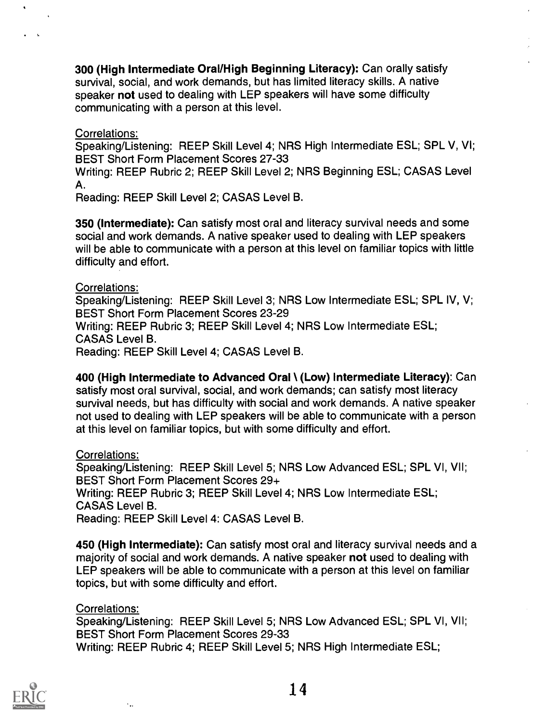300 (High Intermediate Oral/High Beginning Literacy): Can orally satisfy survival, social, and work demands, but has limited literacy skills. A native speaker not used to dealing with LEP speakers will have some difficulty communicating with a person at this level.

### Correlations:

Speaking/Listening: REEP Skill Level 4; NRS High Intermediate ESL; SPL V, VI; BEST Short Form Placement Scores 27-33

Writing: REEP Rubric 2; REEP Skill Level 2; NRS Beginning ESL; CASAS Level A.

Reading: REEP Skill Level 2; CASAS Level B.

350 (Intermediate): Can satisfy most oral and literacy survival needs and some social and work demands. A native speaker used to dealing with LEP speakers will be able to communicate with a person at this level on familiar topics with little difficulty and effort.

### Correlations:

Speaking/Listening: REEP Skill Level 3; NRS Low Intermediate ESL; SPL IV, V; BEST Short Form Placement Scores 23-29

Writing: REEP Rubric 3; REEP Skill Level 4; NRS Low Intermediate ESL; CASAS Level B.

Reading: REEP Skill Level 4; CASAS Level B.

400 (High Intermediate to Advanced Oral \ (Low) Intermediate Literacy): Can satisfy most oral survival, social, and work demands; can satisfy most literacy survival needs, but has difficulty with social and work demands. A native speaker not used to dealing with LEP speakers will be able to communicate with a person at this level on familiar topics, but with some difficulty and effort.

Correlations:

Speaking/Listening: REEP Skill Level 5; NRS Low Advanced ESL; SPL VI, VII; BEST Short Form Placement Scores 29+ Writing: REEP Rubric 3; REEP Skill Level 4; NRS Low Intermediate ESL; CASAS Level B. Reading: REEP Skill Level 4: CASAS Level B.

450 (High Intermediate): Can satisfy most oral and literacy survival needs and a majority of social and work demands. A native speaker not used to dealing with LEP speakers will be able to communicate with a person at this level on familiar topics, but with some difficulty and effort.

### Correlations:

 $\epsilon_{\rm{max}}$ 

Speaking/Listening: REEP Skill Level 5; NRS Low Advanced ESL; SPL VI, VII; BEST Short Form Placement Scores 29-33 Writing: REEP Rubric 4; REEP Skill Level 5; NRS High Intermediate ESL;



14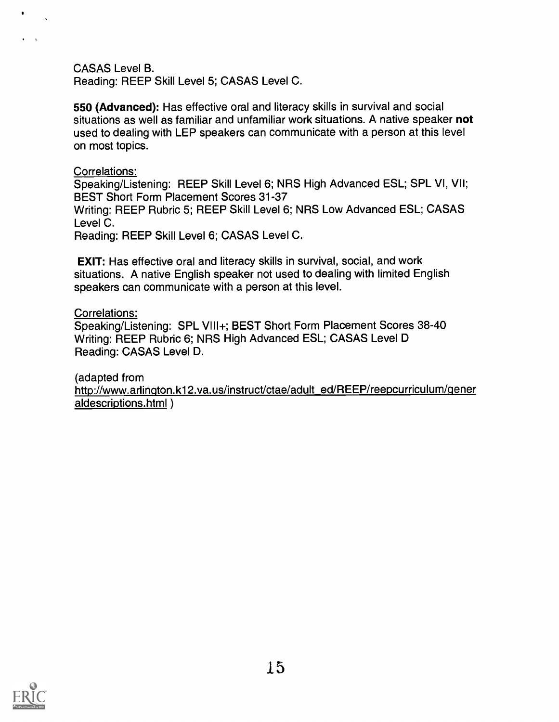### CASAS Level B.

Reading: REEP Skill Level 5; CASAS Level C.

550 (Advanced): Has effective oral and literacy skills in survival and social situations as well as familiar and unfamiliar work situations. A native speaker not used to dealing with LEP speakers can communicate with a person at this level on most topics.

### Correlations:

Speaking/Listening: REEP Skill Level 6; NRS High Advanced ESL; SPL VI, VII; BEST Short Form Placement Scores 31-37

Writing: REEP Rubric 5; REEP Skill Level 6; NRS Low Advanced ESL; CASAS Level C.

Reading: REEP Skill Level 6; CASAS Level C.

EXIT: Has effective oral and literacy skills in survival, social, and work situations. A native English speaker not used to dealing with limited English speakers can communicate with a person at this level.

### Correlations:

Speaking/Listening: SPL VIII+; BEST Short Form Placement Scores 38-40 Writing: REEP Rubric 6; NRS High Advanced ESL; CASAS Level D Reading: CASAS Level D.

(adapted from http://www.arlington.k12.va.us/instruct/ctae/adult\_ed/REEP/reepcurriculum/gener aldescriptions.html )